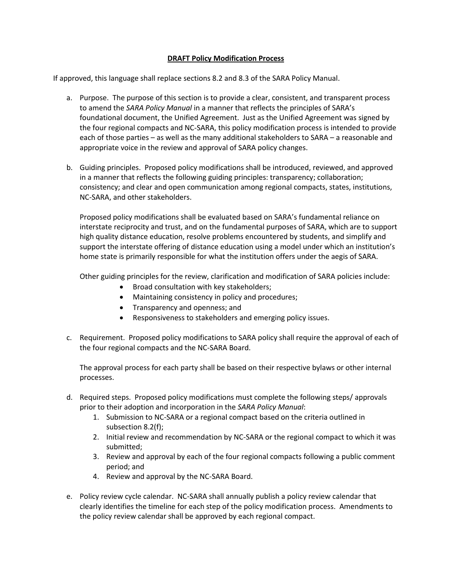## **DRAFT Policy Modification Process**

If approved, this language shall replace sections 8.2 and 8.3 of the SARA Policy Manual.

- a. Purpose. The purpose of this section is to provide a clear, consistent, and transparent process to amend the *SARA Policy Manual* in a manner that reflects the principles of SARA's foundational document, the Unified Agreement. Just as the Unified Agreement was signed by the four regional compacts and NC-SARA, this policy modification process is intended to provide each of those parties – as well as the many additional stakeholders to SARA – a reasonable and appropriate voice in the review and approval of SARA policy changes.
- b. Guiding principles. Proposed policy modifications shall be introduced, reviewed, and approved in a manner that reflects the following guiding principles: transparency; collaboration; consistency; and clear and open communication among regional compacts, states, institutions, NC-SARA, and other stakeholders.

Proposed policy modifications shall be evaluated based on SARA's fundamental reliance on interstate reciprocity and trust, and on the fundamental purposes of SARA, which are to support high quality distance education, resolve problems encountered by students, and simplify and support the interstate offering of distance education using a model under which an institution's home state is primarily responsible for what the institution offers under the aegis of SARA.

Other guiding principles for the review, clarification and modification of SARA policies include:

- Broad consultation with key stakeholders;
- Maintaining consistency in policy and procedures;
- Transparency and openness; and
- Responsiveness to stakeholders and emerging policy issues.
- c. Requirement. Proposed policy modifications to SARA policy shall require the approval of each of the four regional compacts and the NC-SARA Board.

The approval process for each party shall be based on their respective bylaws or other internal processes.

- d. Required steps. Proposed policy modifications must complete the following steps/ approvals prior to their adoption and incorporation in the *SARA Policy Manual*:
	- 1. Submission to NC-SARA or a regional compact based on the criteria outlined in subsection 8.2(f);
	- 2. Initial review and recommendation by NC-SARA or the regional compact to which it was submitted;
	- 3. Review and approval by each of the four regional compacts following a public comment period; and
	- 4. Review and approval by the NC-SARA Board.
- e. Policy review cycle calendar. NC-SARA shall annually publish a policy review calendar that clearly identifies the timeline for each step of the policy modification process. Amendments to the policy review calendar shall be approved by each regional compact.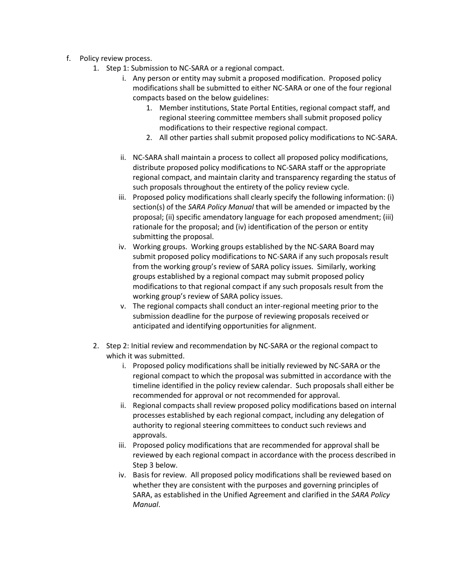- f. Policy review process.
	- 1. Step 1: Submission to NC-SARA or a regional compact.
		- i. Any person or entity may submit a proposed modification. Proposed policy modifications shall be submitted to either NC-SARA or one of the four regional compacts based on the below guidelines:
			- 1. Member institutions, State Portal Entities, regional compact staff, and regional steering committee members shall submit proposed policy modifications to their respective regional compact.
			- 2. All other parties shall submit proposed policy modifications to NC-SARA.
		- ii. NC-SARA shall maintain a process to collect all proposed policy modifications, distribute proposed policy modifications to NC-SARA staff or the appropriate regional compact, and maintain clarity and transparency regarding the status of such proposals throughout the entirety of the policy review cycle.
		- iii. Proposed policy modifications shall clearly specify the following information: (i) section(s) of the *SARA Policy Manual* that will be amended or impacted by the proposal; (ii) specific amendatory language for each proposed amendment; (iii) rationale for the proposal; and (iv) identification of the person or entity submitting the proposal.
		- iv. Working groups. Working groups established by the NC-SARA Board may submit proposed policy modifications to NC-SARA if any such proposals result from the working group's review of SARA policy issues. Similarly, working groups established by a regional compact may submit proposed policy modifications to that regional compact if any such proposals result from the working group's review of SARA policy issues.
		- v. The regional compacts shall conduct an inter-regional meeting prior to the submission deadline for the purpose of reviewing proposals received or anticipated and identifying opportunities for alignment.
	- 2. Step 2: Initial review and recommendation by NC-SARA or the regional compact to which it was submitted.
		- i. Proposed policy modifications shall be initially reviewed by NC-SARA or the regional compact to which the proposal was submitted in accordance with the timeline identified in the policy review calendar. Such proposals shall either be recommended for approval or not recommended for approval.
		- ii. Regional compacts shall review proposed policy modifications based on internal processes established by each regional compact, including any delegation of authority to regional steering committees to conduct such reviews and approvals.
		- iii. Proposed policy modifications that are recommended for approval shall be reviewed by each regional compact in accordance with the process described in Step 3 below.
		- iv. Basis for review. All proposed policy modifications shall be reviewed based on whether they are consistent with the purposes and governing principles of SARA, as established in the Unified Agreement and clarified in the *SARA Policy Manual*.